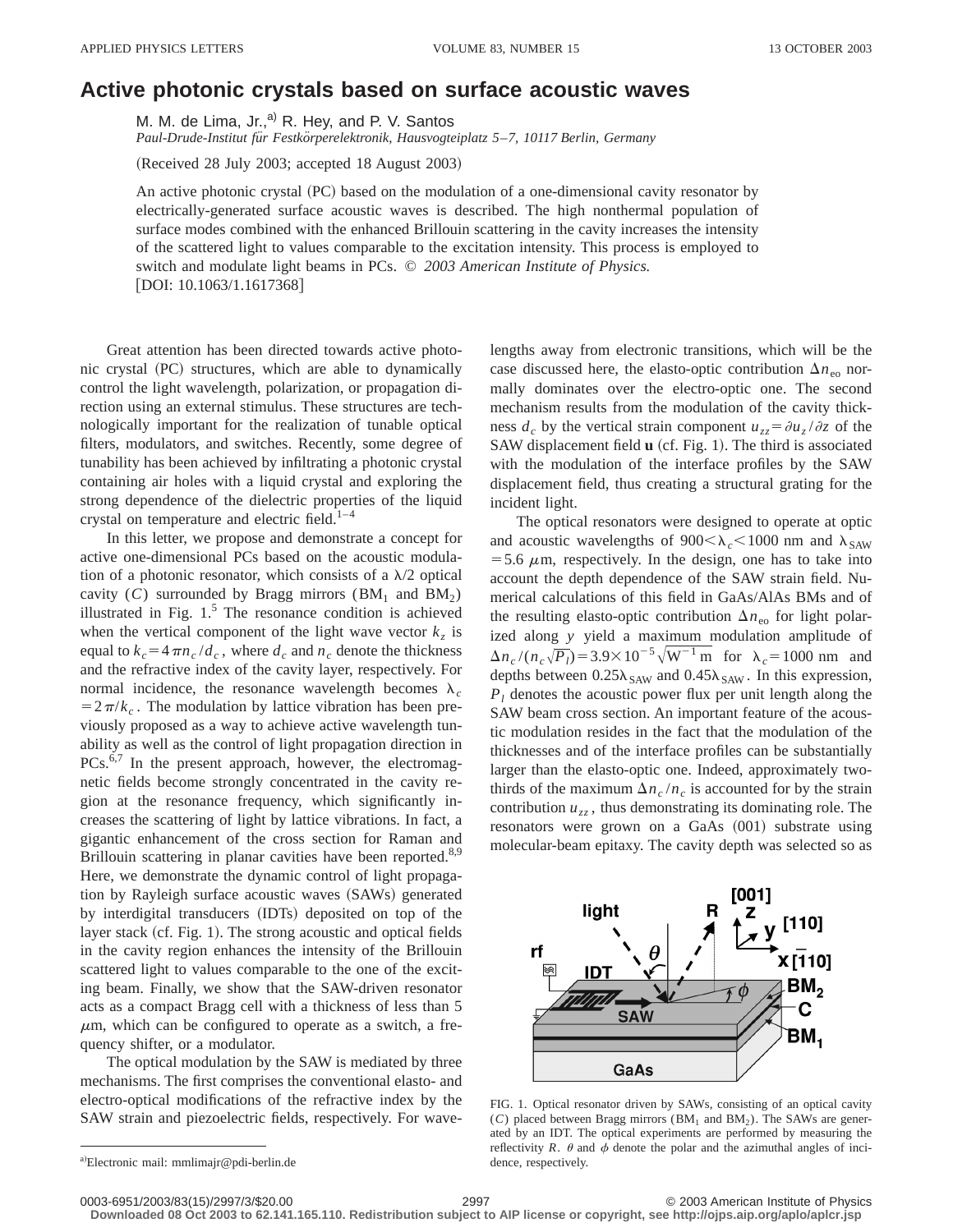## **Active photonic crystals based on surface acoustic waves**

M. M. de Lima, Jr.,<sup>a)</sup> R. Hey, and P. V. Santos

*Paul-Drude-Institut fu¨r Festko¨rperelektronik, Hausvogteiplatz 5*–*7, 10117 Berlin, Germany*

(Received 28 July 2003; accepted 18 August 2003)

An active photonic crystal  $(PC)$  based on the modulation of a one-dimensional cavity resonator by electrically-generated surface acoustic waves is described. The high nonthermal population of surface modes combined with the enhanced Brillouin scattering in the cavity increases the intensity of the scattered light to values comparable to the excitation intensity. This process is employed to switch and modulate light beams in PCs. © *2003 American Institute of Physics.*  $[DOI: 10.1063/1.1617368]$ 

Great attention has been directed towards active photonic crystal (PC) structures, which are able to dynamically control the light wavelength, polarization, or propagation direction using an external stimulus. These structures are technologically important for the realization of tunable optical filters, modulators, and switches. Recently, some degree of tunability has been achieved by infiltrating a photonic crystal containing air holes with a liquid crystal and exploring the strong dependence of the dielectric properties of the liquid crystal on temperature and electric field. $1-4$ 

In this letter, we propose and demonstrate a concept for active one-dimensional PCs based on the acoustic modulation of a photonic resonator, which consists of a  $\lambda/2$  optical cavity (*C*) surrounded by Bragg mirrors ( $BM<sub>1</sub>$  and  $BM<sub>2</sub>$ ) illustrated in Fig.  $1<sup>5</sup>$  The resonance condition is achieved when the vertical component of the light wave vector  $k<sub>z</sub>$  is equal to  $k_c = 4 \pi n_c / d_c$ , where  $d_c$  and  $n_c$  denote the thickness and the refractive index of the cavity layer, respectively. For normal incidence, the resonance wavelength becomes  $\lambda_c$  $=2\pi/k_c$ . The modulation by lattice vibration has been previously proposed as a way to achieve active wavelength tunability as well as the control of light propagation direction in  $PCs.\overline{6,7}$  In the present approach, however, the electromagnetic fields become strongly concentrated in the cavity region at the resonance frequency, which significantly increases the scattering of light by lattice vibrations. In fact, a gigantic enhancement of the cross section for Raman and Brillouin scattering in planar cavities have been reported.<sup>8,9</sup> Here, we demonstrate the dynamic control of light propagation by Rayleigh surface acoustic waves (SAWs) generated by interdigital transducers (IDTs) deposited on top of the layer stack (cf. Fig. 1). The strong acoustic and optical fields in the cavity region enhances the intensity of the Brillouin scattered light to values comparable to the one of the exciting beam. Finally, we show that the SAW-driven resonator acts as a compact Bragg cell with a thickness of less than 5  $\mu$ m, which can be configured to operate as a switch, a frequency shifter, or a modulator.

The optical modulation by the SAW is mediated by three mechanisms. The first comprises the conventional elasto- and electro-optical modifications of the refractive index by the SAW strain and piezoelectric fields, respectively. For wavelengths away from electronic transitions, which will be the case discussed here, the elasto-optic contribution  $\Delta n_{\text{eo}}$  normally dominates over the electro-optic one. The second mechanism results from the modulation of the cavity thickness  $d_c$  by the vertical strain component  $u_{zz} = \partial u_z / \partial z$  of the SAW displacement field **u** (cf. Fig. 1). The third is associated with the modulation of the interface profiles by the SAW displacement field, thus creating a structural grating for the incident light.

The optical resonators were designed to operate at optic and acoustic wavelengths of  $900<\lambda_c<1000$  nm and  $\lambda_{SAW}$  $=$  5.6  $\mu$ m, respectively. In the design, one has to take into account the depth dependence of the SAW strain field. Numerical calculations of this field in GaAs/AlAs BMs and of the resulting elasto-optic contribution  $\Delta n_{\rm eo}$  for light polarized along *y* yield a maximum modulation amplitude of  $\Delta n_c / (n_c \sqrt{P_l}) = 3.9 \times 10^{-5} \sqrt{\text{W}^{-1} \text{ m}}$  for  $\lambda_c = 1000 \text{ nm}$  and depths between  $0.25\lambda_{SAW}$  and  $0.45\lambda_{SAW}$ . In this expression,  $P_l$  denotes the acoustic power flux per unit length along the SAW beam cross section. An important feature of the acoustic modulation resides in the fact that the modulation of the thicknesses and of the interface profiles can be substantially larger than the elasto-optic one. Indeed, approximately twothirds of the maximum  $\Delta n_c / n_c$  is accounted for by the strain contribution  $u_{zz}$ , thus demonstrating its dominating role. The resonators were grown on a GaAs (001) substrate using molecular-beam epitaxy. The cavity depth was selected so as



FIG. 1. Optical resonator driven by SAWs, consisting of an optical cavity  $(C)$  placed between Bragg mirrors (BM<sub>1</sub> and BM<sub>2</sub>). The SAWs are generated by an IDT. The optical experiments are performed by measuring the reflectivity *R*.  $\theta$  and  $\phi$  denote the polar and the azimuthal angles of incidence, respectively.

0003-6951/2003/83(15)/2997/3/\$20.00 © 2003 American Institute of Physics 2997 **Downloaded 08 Oct 2003 to 62.141.165.110. Redistribution subject to AIP license or copyright, see http://ojps.aip.org/aplo/aplcr.jsp**

a)Electronic mail: mmlimajr@pdi-berlin.de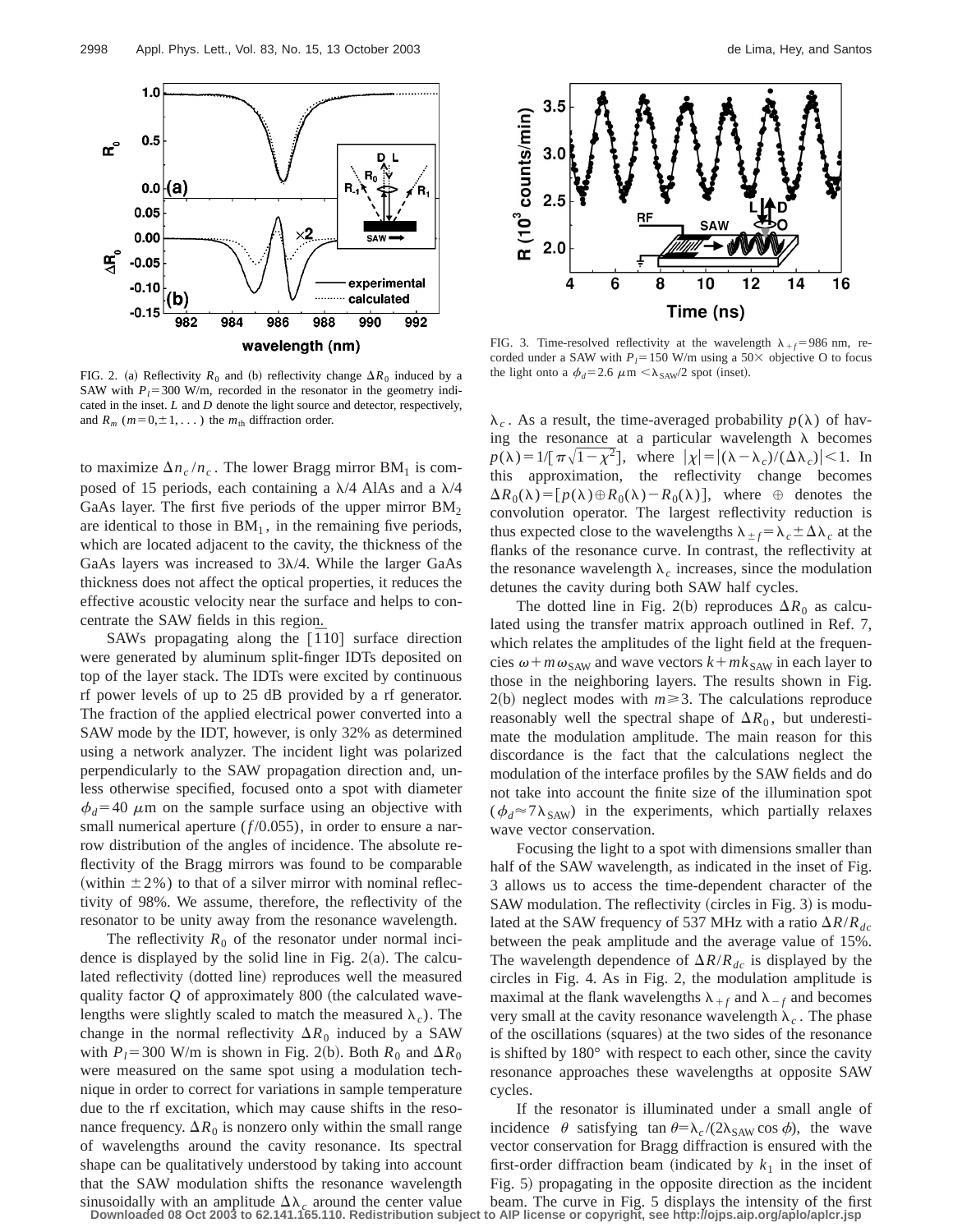

FIG. 2. (a) Reflectivity  $R_0$  and (b) reflectivity change  $\Delta R_0$  induced by a SAW with  $P_1 = 300$  W/m, recorded in the resonator in the geometry indicated in the inset. *L* and *D* denote the light source and detector, respectively, and  $R_m$  ( $m=0,\pm 1,\ldots$ ) the  $m_{\text{th}}$  diffraction order.

to maximize  $\Delta n_c / n_c$ . The lower Bragg mirror BM<sub>1</sub> is composed of 15 periods, each containing a  $\lambda$ /4 AlAs and a  $\lambda$ /4 GaAs layer. The first five periods of the upper mirror  $BM<sub>2</sub>$ are identical to those in  $BM<sub>1</sub>$ , in the remaining five periods, which are located adjacent to the cavity, the thickness of the GaAs layers was increased to  $3\lambda/4$ . While the larger GaAs thickness does not affect the optical properties, it reduces the effective acoustic velocity near the surface and helps to concentrate the SAW fields in this region.

SAWs propagating along the  $[\bar{1}10]$  surface direction were generated by aluminum split-finger IDTs deposited on top of the layer stack. The IDTs were excited by continuous rf power levels of up to 25 dB provided by a rf generator. The fraction of the applied electrical power converted into a SAW mode by the IDT, however, is only 32% as determined using a network analyzer. The incident light was polarized perpendicularly to the SAW propagation direction and, unless otherwise specified, focused onto a spot with diameter  $\phi_d$ =40  $\mu$ m on the sample surface using an objective with small numerical aperture  $(f/0.055)$ , in order to ensure a narrow distribution of the angles of incidence. The absolute reflectivity of the Bragg mirrors was found to be comparable (within  $\pm 2\%$ ) to that of a silver mirror with nominal reflectivity of 98%. We assume, therefore, the reflectivity of the resonator to be unity away from the resonance wavelength.

The reflectivity  $R_0$  of the resonator under normal incidence is displayed by the solid line in Fig.  $2(a)$ . The calculated reflectivity (dotted line) reproduces well the measured quality factor  $Q$  of approximately 800 (the calculated wavelengths were slightly scaled to match the measured  $\lambda_c$ ). The change in the normal reflectivity  $\Delta R_0$  induced by a SAW with  $P_l$ =300 W/m is shown in Fig. 2(b). Both  $R_0$  and  $\Delta R_0$ were measured on the same spot using a modulation technique in order to correct for variations in sample temperature due to the rf excitation, which may cause shifts in the resonance frequency.  $\Delta R_0$  is nonzero only within the small range of wavelengths around the cavity resonance. Its spectral shape can be qualitatively understood by taking into account that the SAW modulation shifts the resonance wavelength sinusoidally with an amplitude  $\Delta\lambda_c$  around the center value



FIG. 3. Time-resolved reflectivity at the wavelength  $\lambda_{+f}$ =986 nm, recorded under a SAW with  $P_l$ =150 W/m using a 50 $\times$  objective O to focus the light onto a  $\phi_d$ =2.6  $\mu$ m <  $\lambda_{SAW}/2$  spot (inset).

 $\lambda_c$ . As a result, the time-averaged probability  $p(\lambda)$  of having the resonance at a particular wavelength  $\lambda$  becomes  $p(\lambda) = 1/[\pi \sqrt{1-\chi^2}]$ , where  $|\chi| = |(\lambda - \lambda_c)/(\Delta \lambda_c)| < 1$ . In this approximation, the reflectivity change becomes  $\Delta R_0(\lambda) = [p(\lambda) \oplus R_0(\lambda) - R_0(\lambda)]$ , where  $\oplus$  denotes the convolution operator. The largest reflectivity reduction is thus expected close to the wavelengths  $\lambda_{+f} = \lambda_c \pm \Delta\lambda_c$  at the flanks of the resonance curve. In contrast, the reflectivity at the resonance wavelength  $\lambda_c$  increases, since the modulation detunes the cavity during both SAW half cycles.

The dotted line in Fig. 2(b) reproduces  $\Delta R_0$  as calculated using the transfer matrix approach outlined in Ref. 7, which relates the amplitudes of the light field at the frequencies  $\omega + m\omega_{SAW}$  and wave vectors  $k + mk_{SAW}$  in each layer to those in the neighboring layers. The results shown in Fig.  $2(b)$  neglect modes with  $m \ge 3$ . The calculations reproduce reasonably well the spectral shape of  $\Delta R_0$ , but underestimate the modulation amplitude. The main reason for this discordance is the fact that the calculations neglect the modulation of the interface profiles by the SAW fields and do not take into account the finite size of the illumination spot  $(\phi_d \approx 7\lambda_{SAW})$  in the experiments, which partially relaxes wave vector conservation.

Focusing the light to a spot with dimensions smaller than half of the SAW wavelength, as indicated in the inset of Fig. 3 allows us to access the time-dependent character of the SAW modulation. The reflectivity (circles in Fig. 3) is modulated at the SAW frequency of 537 MHz with a ratio  $\Delta R/R_{dc}$ between the peak amplitude and the average value of 15%. The wavelength dependence of  $\Delta R/R_{dc}$  is displayed by the circles in Fig. 4. As in Fig. 2, the modulation amplitude is maximal at the flank wavelengths  $\lambda_{+f}$  and  $\lambda_{-f}$  and becomes very small at the cavity resonance wavelength  $\lambda_c$ . The phase of the oscillations (squares) at the two sides of the resonance is shifted by 180° with respect to each other, since the cavity resonance approaches these wavelengths at opposite SAW cycles.

If the resonator is illuminated under a small angle of incidence  $\theta$  satisfying tan  $\theta = \lambda_c / (2\lambda_{SAW} \cos \phi)$ , the wave vector conservation for Bragg diffraction is ensured with the first-order diffraction beam (indicated by  $k_1$  in the inset of Fig. 5) propagating in the opposite direction as the incident beam. The curve in Fig. 5 displays the intensity of the first **Downloaded 08 Oct 2003 to 62.141.165.110. Redistribution subject to AIP license or copyright, see http://ojps.aip.org/aplo/aplcr.jsp**